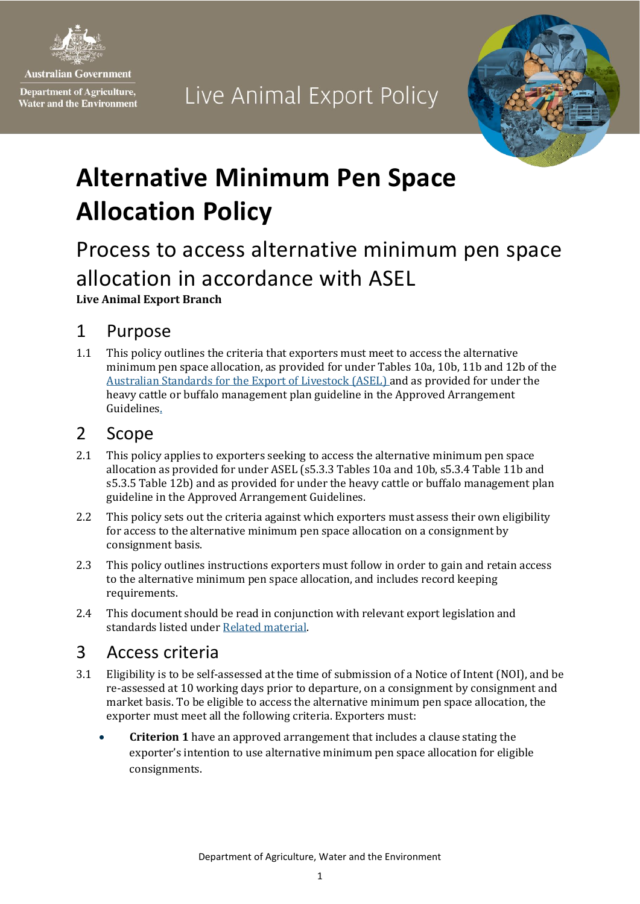

**Australian Government** 

**Department of Agriculture, Water and the Environment** 

# Live Animal Export Policy



# **Alternative Minimum Pen Space Allocation Policy**

## Process to access alternative minimum pen space allocation in accordance with ASEL **Live Animal Export Branch**

#### 1 Purpose

1.1 This policy outlines the criteria that exporters must meet to access the alternative minimum pen space allocation, as provided for under Tables 10a, 10b, 11b and 12b of the [Australian Standards for the Export of Livestock \(ASEL\)](https://www.agriculture.gov.au/export/controlled-goods/live-animals/livestock/australian-standards-livestock) and as provided for under the [heavy cattle or buffalo management plan guideline in the Approved Arrangement](https://www.agriculture.gov.au/export/controlled-goods/live-animals/livestock/australian-standards-livestock)  [Guidelines.](https://www.agriculture.gov.au/export/controlled-goods/live-animals/livestock/australian-standards-livestock) 

#### 2 Scope

- 2.1 This policy applies to exporters seeking to access the alternative minimum pen space allocation as provided for under ASEL (s5.3.3 Tables 10a and 10b, s5.3.4 Table 11b and s5.3.5 Table 12b) and as provided for under the heavy cattle or buffalo management plan guideline in the Approved Arrangement Guidelines.
- 2.2 This policy sets out the criteria against which exporters must assess their own eligibility for access to the alternative minimum pen space allocation on a consignment by consignment basis.
- 2.3 This policy outlines instructions exporters must follow in order to gain and retain access to the alternative minimum pen space allocation, and includes record keeping requirements.
- 2.4 This document should be read in conjunction with relevant export legislation and standards listed unde[r Related material.](#page-3-0)

#### <span id="page-0-0"></span>3 Access criteria

- 3.1 Eligibility is to be self-assessed at the time of submission of a Notice of Intent (NOI), and be re-assessed at 10 working days prior to departure, on a consignment by consignment and market basis. To be eligible to access the alternative minimum pen space allocation, the exporter must meet all the following criteria. Exporters must:
	- **Criterion 1** have an approved arrangement that includes a clause stating the exporter's intention to use alternative minimum pen space allocation for eligible consignments.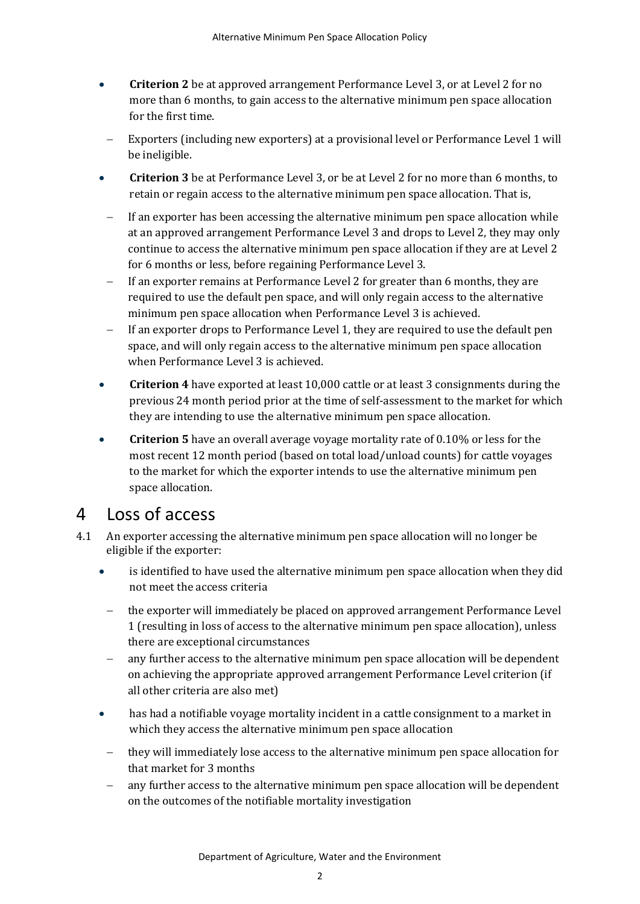- **Criterion 2** be at approved arrangement Performance Level 3, or at Level 2 for no more than 6 months, to gain access to the alternative minimum pen space allocation for the first time.
- Exporters (including new exporters) at a provisional level or Performance Level 1 will be ineligible.
- **Criterion 3** be at Performance Level 3, or be at Level 2 for no more than 6 months, to retain or regain access to the alternative minimum pen space allocation. That is,
- If an exporter has been accessing the alternative minimum pen space allocation while at an approved arrangement Performance Level 3 and drops to Level 2, they may only continue to access the alternative minimum pen space allocation if they are at Level 2 for 6 months or less, before regaining Performance Level 3.
- If an exporter remains at Performance Level 2 for greater than 6 months, they are required to use the default pen space, and will only regain access to the alternative minimum pen space allocation when Performance Level 3 is achieved.
- If an exporter drops to Performance Level 1, they are required to use the default pen space, and will only regain access to the alternative minimum pen space allocation when Performance Level 3 is achieved.
- **Criterion 4** have exported at least 10,000 cattle or at least 3 consignments during the previous 24 month period prior at the time of self-assessment to the market for which they are intending to use the alternative minimum pen space allocation.
- **Criterion 5** have an overall average voyage mortality rate of 0.10% or less for the most recent 12 month period (based on total load/unload counts) for cattle voyages to the market for which the exporter intends to use the alternative minimum pen space allocation.

#### <span id="page-1-0"></span>4 Loss of access

- 4.1 An exporter accessing the alternative minimum pen space allocation will no longer be eligible if the exporter:
	- is identified to have used the alternative minimum pen space allocation when they did not meet the access criteria
	- − the exporter will immediately be placed on approved arrangement Performance Level 1 (resulting in loss of access to the alternative minimum pen space allocation), unless there are exceptional circumstances
	- any further access to the alternative minimum pen space allocation will be dependent on achieving the appropriate approved arrangement Performance Level criterion (if all other criteria are also met)
	- has had a notifiable voyage mortality incident in a cattle consignment to a market in which they access the alternative minimum pen space allocation
	- they will immediately lose access to the alternative minimum pen space allocation for that market for 3 months
	- any further access to the alternative minimum pen space allocation will be dependent on the outcomes of the notifiable mortality investigation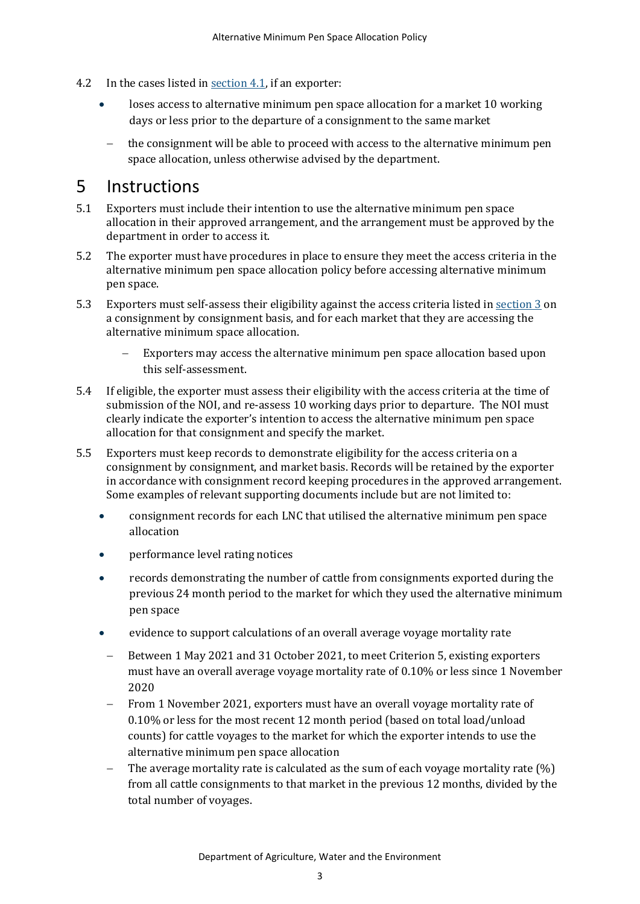- 4.2 In the cases listed in <u>section 4.1</u>, if an exporter:
	- loses access to alternative minimum pen space allocation for a market 10 working days or less prior to the departure of a consignment to the same market
		- the consignment will be able to proceed with access to the alternative minimum pen space allocation, unless otherwise advised by the department.

#### 5 Instructions

- 5.1 Exporters must include their intention to use the alternative minimum pen space allocation in their approved arrangement, and the arrangement must be approved by the department in order to access it.
- 5.2 The exporter must have procedures in place to ensure they meet the access criteria in the alternative minimum pen space allocation policy before accessing alternative minimum pen space.
- 5.3 Exporters must self-assess their eligibility against the access criteria listed i[n section 3](#page-0-0) on a consignment by consignment basis, and for each market that they are accessing the alternative minimum space allocation.
	- Exporters may access the alternative minimum pen space allocation based upon this self-assessment.
- 5.4 If eligible, the exporter must assess their eligibility with the access criteria at the time of submission of the NOI, and re-assess 10 working days prior to departure. The NOI must clearly indicate the exporter's intention to access the alternative minimum pen space allocation for that consignment and specify the market.
- 5.5 Exporters must keep records to demonstrate eligibility for the access criteria on a consignment by consignment, and market basis. Records will be retained by the exporter in accordance with consignment record keeping procedures in the approved arrangement. Some examples of relevant supporting documents include but are not limited to:
	- consignment records for each LNC that utilised the alternative minimum pen space allocation
	- performance level rating notices
	- records demonstrating the number of cattle from consignments exported during the previous 24 month period to the market for which they used the alternative minimum pen space
	- evidence to support calculations of an overall average voyage mortality rate
	- − Between 1 May 2021 and 31 October 2021, to meet Criterion 5, existing exporters must have an overall average voyage mortality rate of 0.10% or less since 1 November 2020
	- From 1 November 2021, exporters must have an overall voyage mortality rate of 0.10% or less for the most recent 12 month period (based on total load/unload counts) for cattle voyages to the market for which the exporter intends to use the alternative minimum pen space allocation
	- The average mortality rate is calculated as the sum of each voyage mortality rate (%) from all cattle consignments to that market in the previous 12 months, divided by the total number of voyages.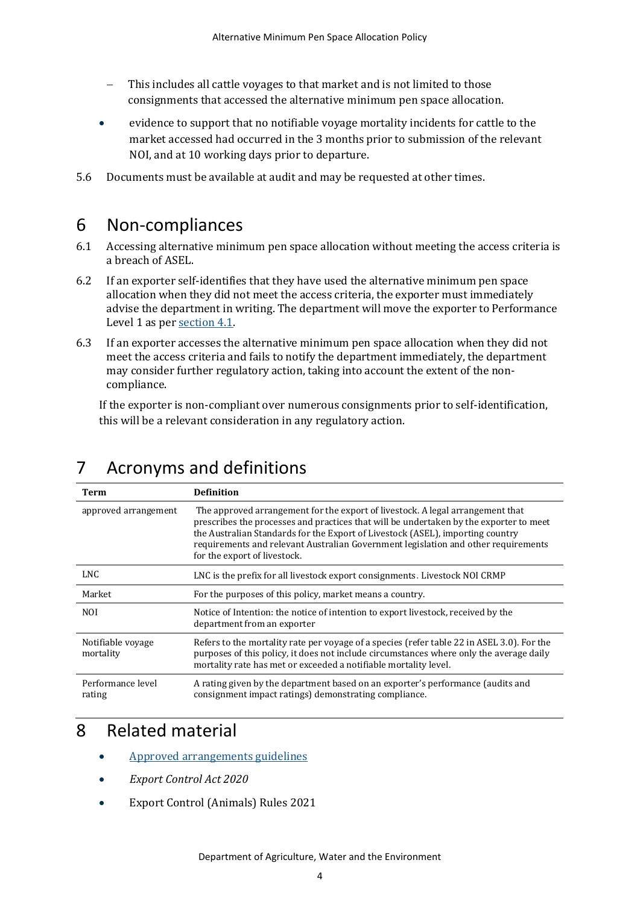- This includes all cattle voyages to that market and is not limited to those consignments that accessed the alternative minimum pen space allocation.
- evidence to support that no notifiable voyage mortality incidents for cattle to the market accessed had occurred in the 3 months prior to submission of the relevant NOI, and at 10 working days prior to departure.
- 5.6 Documents must be available at audit and may be requested at other times.

#### 6 Non-compliances

- 6.1 Accessing alternative minimum pen space allocation without meeting the access criteria is a breach of ASEL.
- 6.2 If an exporter self-identifies that they have used the alternative minimum pen space allocation when they did not meet the access criteria, the exporter must immediately advise the department in writing. The department will move the exporter to Performance Level 1 as pe[r section 4.1.](#page-1-0)
- 6.3 If an exporter accesses the alternative minimum pen space allocation when they did not meet the access criteria and fails to notify the department immediately, the department may consider further regulatory action, taking into account the extent of the noncompliance.

If the exporter is non-compliant over numerous consignments prior to self-identification, this will be a relevant consideration in any regulatory action.

<span id="page-3-0"></span>

| Term                           | <b>Definition</b>                                                                                                                                                                                                                                                                                                                                                                |
|--------------------------------|----------------------------------------------------------------------------------------------------------------------------------------------------------------------------------------------------------------------------------------------------------------------------------------------------------------------------------------------------------------------------------|
| approved arrangement           | The approved arrangement for the export of livestock. A legal arrangement that<br>prescribes the processes and practices that will be undertaken by the exporter to meet<br>the Australian Standards for the Export of Livestock (ASEL), importing country<br>requirements and relevant Australian Government legislation and other requirements<br>for the export of livestock. |
| LNC.                           | LNC is the prefix for all livestock export consignments. Livestock NOI CRMP                                                                                                                                                                                                                                                                                                      |
| Market                         | For the purposes of this policy, market means a country.                                                                                                                                                                                                                                                                                                                         |
| <b>NOI</b>                     | Notice of Intention: the notice of intention to export livestock, received by the<br>department from an exporter                                                                                                                                                                                                                                                                 |
| Notifiable voyage<br>mortality | Refers to the mortality rate per voyage of a species (refer table 22 in ASEL 3.0). For the<br>purposes of this policy, it does not include circumstances where only the average daily<br>mortality rate has met or exceeded a notifiable mortality level.                                                                                                                        |
| Performance level<br>rating    | A rating given by the department based on an exporter's performance (audits and<br>consignment impact ratings) demonstrating compliance.                                                                                                                                                                                                                                         |

### 7 Acronyms and definitions

#### 8 Related material

- [Approved arrangements guidelines](https://www.agriculture.gov.au/export/controlled-goods/live-animals/livestock/information-exporters-industry/approved-arrangements)
- *Export Control Act 2020*
- Export Control (Animals) Rules 2021